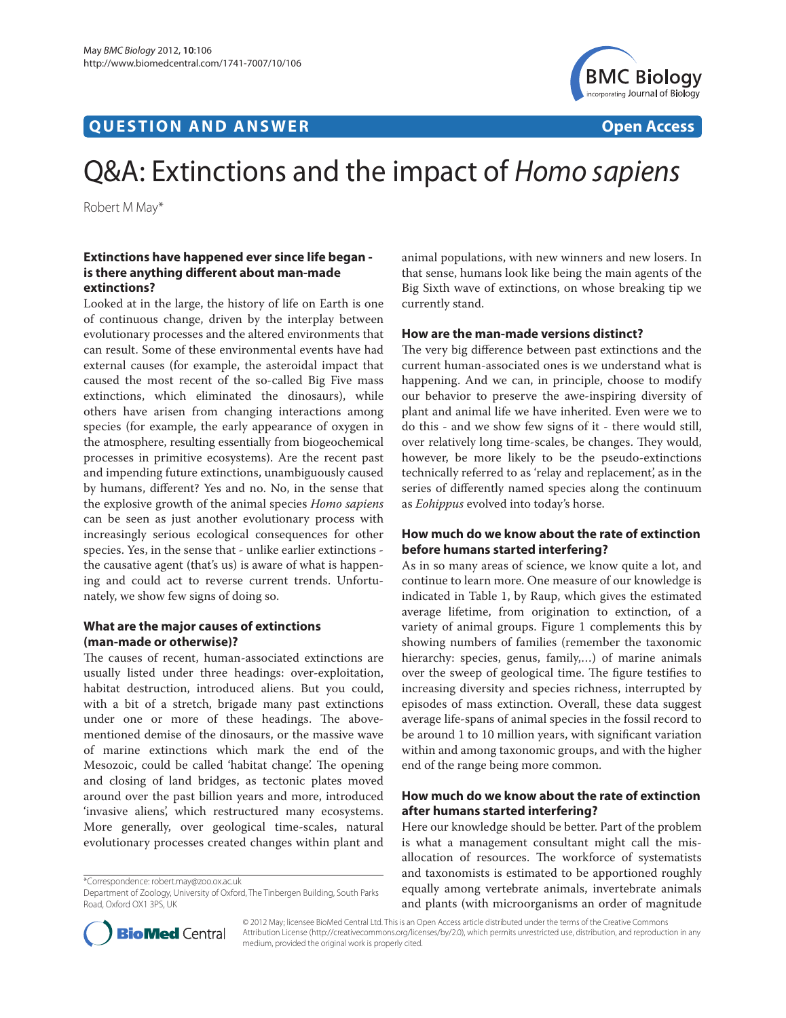# **QUESTION AND ANSWER** *CON*



# Q&A: Extinctions and the impact of *Homo sapiens*

Robert M May\*

## **Extinctions have happened ever since life began is there anything different about man-made extinctions?**

Looked at in the large, the history of life on Earth is one of continuous change, driven by the interplay between evolutionary processes and the altered environments that can result. Some of these environmental events have had external causes (for example, the asteroidal impact that caused the most recent of the so-called Big Five mass extinctions, which eliminated the dinosaurs), while others have arisen from changing interactions among species (for example, the early appearance of oxygen in the atmosphere, resulting essentially from biogeochemical processes in primitive ecosystems). Are the recent past and impending future extinctions, unambiguously caused by humans, different? Yes and no. No, in the sense that the explosive growth of the animal species *Homo sapiens* can be seen as just another evolutionary process with increasingly serious ecological consequences for other species. Yes, in the sense that - unlike earlier extinctions the causative agent (that's us) is aware of what is happening and could act to reverse current trends. Unfortunately, we show few signs of doing so.

## **What are the major causes of extinctions (man-made or otherwise)?**

The causes of recent, human-associated extinctions are usually listed under three headings: over-exploitation, habitat destruction, introduced aliens. But you could, with a bit of a stretch, brigade many past extinctions under one or more of these headings. The abovementioned demise of the dinosaurs, or the massive wave of marine extinctions which mark the end of the Mesozoic, could be called 'habitat change'. The opening and closing of land bridges, as tectonic plates moved around over the past billion years and more, introduced 'invasive aliens', which restructured many ecosystems. More generally, over geological time-scales, natural evolutionary processes created changes within plant and

animal populations, with new winners and new losers. In that sense, humans look like being the main agents of the Big Sixth wave of extinctions, on whose breaking tip we currently stand.

#### **How are the man-made versions distinct?**

The very big difference between past extinctions and the current human-associated ones is we understand what is happening. And we can, in principle, choose to modify our behavior to preserve the awe-inspiring diversity of plant and animal life we have inherited. Even were we to do this - and we show few signs of it - there would still, over relatively long time-scales, be changes. They would, however, be more likely to be the pseudo-extinctions technically referred to as 'relay and replacement', as in the series of differently named species along the continuum as *Eohippus* evolved into today's horse.

#### **How much do we know about the rate of extinction before humans started interfering?**

As in so many areas of science, we know quite a lot, and continue to learn more. One measure of our knowledge is indicated in Table 1, by Raup, which gives the estimated average lifetime, from origination to extinction, of a variety of animal groups. Figure 1 complements this by showing numbers of families (remember the taxonomic hierarchy: species, genus, family,...) of marine animals over the sweep of geological time. The figure testifies to increasing diversity and species richness, interrupted by episodes of mass extinction. Overall, these data suggest average life-spans of animal species in the fossil record to be around 1 to 10 million years, with significant variation within and among taxonomic groups, and with the higher end of the range being more common.

## **How much do we know about the rate of extinction after humans started interfering?**

Here our knowledge should be better. Part of the problem is what a management consultant might call the misallocation of resources. The workforce of systematists and taxonomists is estimated to be apportioned roughly equally among vertebrate animals, invertebrate animals and plants (with microorganisms an order of magnitude



© 2012 May; licensee BioMed Central Ltd. This is an Open Access article distributed under the terms of the Creative Commons Attribution License (http://creativecommons.org/licenses/by/2.0), which permits unrestricted use, distribution, and reproduction in any medium, provided the original work is properly cited.

<sup>\*</sup>Correspondence: robert.may@zoo.ox.ac.uk

Department of Zoology, University of Oxford, The Tinbergen Building, South Parks Road, Oxford OX1 3PS, UK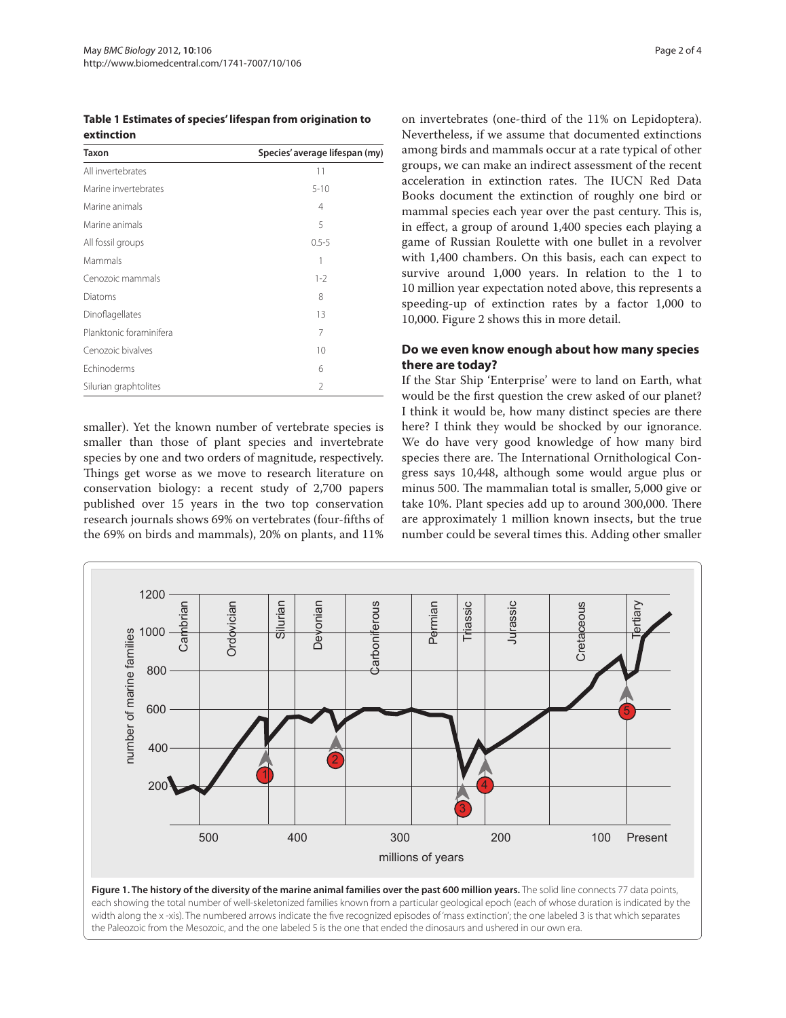**Table 1 Estimates of species' lifespan from origination to extinction**

| <b>Taxon</b>            | Species' average lifespan (my) |
|-------------------------|--------------------------------|
| All invertebrates       | 11                             |
| Marine invertebrates    | $5 - 10$                       |
| Marine animals          | 4                              |
| Marine animals          | 5                              |
| All fossil groups       | $0.5 - 5$                      |
| Mammals                 | 1                              |
| Cenozoic mammals        | $1 - 2$                        |
| Diatoms                 | 8                              |
| Dinoflagellates         | 13                             |
| Planktonic foraminifera | 7                              |
| Cenozoic bivalves       | 10                             |
| Echinoderms             | 6                              |
| Silurian graphtolites   | 2                              |

smaller). Yet the known number of vertebrate species is smaller than those of plant species and invertebrate species by one and two orders of magnitude, respectively. Things get worse as we move to research literature on conservation biology: a recent study of 2,700 papers published over 15 years in the two top conservation research journals shows 69% on vertebrates (four-fifths of the 69% on birds and mammals), 20% on plants, and 11%

on invertebrates (one-third of the 11% on Lepidoptera). Nevertheless, if we assume that documented extinctions among birds and mammals occur at a rate typical of other groups, we can make an indirect assessment of the recent acceleration in extinction rates. The IUCN Red Data Books document the extinction of roughly one bird or mammal species each year over the past century. This is, in effect, a group of around 1,400 species each playing a game of Russian Roulette with one bullet in a revolver with 1,400 chambers. On this basis, each can expect to survive around 1,000 years. In relation to the 1 to 10 million year expectation noted above, this represents a speeding-up of extinction rates by a factor 1,000 to 10,000. Figure 2 shows this in more detail.

### **Do we even know enough about how many species there are today?**

If the Star Ship 'Enterprise' were to land on Earth, what would be the first question the crew asked of our planet? I think it would be, how many distinct species are there here? I think they would be shocked by our ignorance. We do have very good knowledge of how many bird species there are. The International Ornithological Congress says 10,448, although some would argue plus or minus 500. The mammalian total is smaller, 5,000 give or take 10%. Plant species add up to around 300,000. There are approximately 1 million known insects, but the true number could be several times this. Adding other smaller



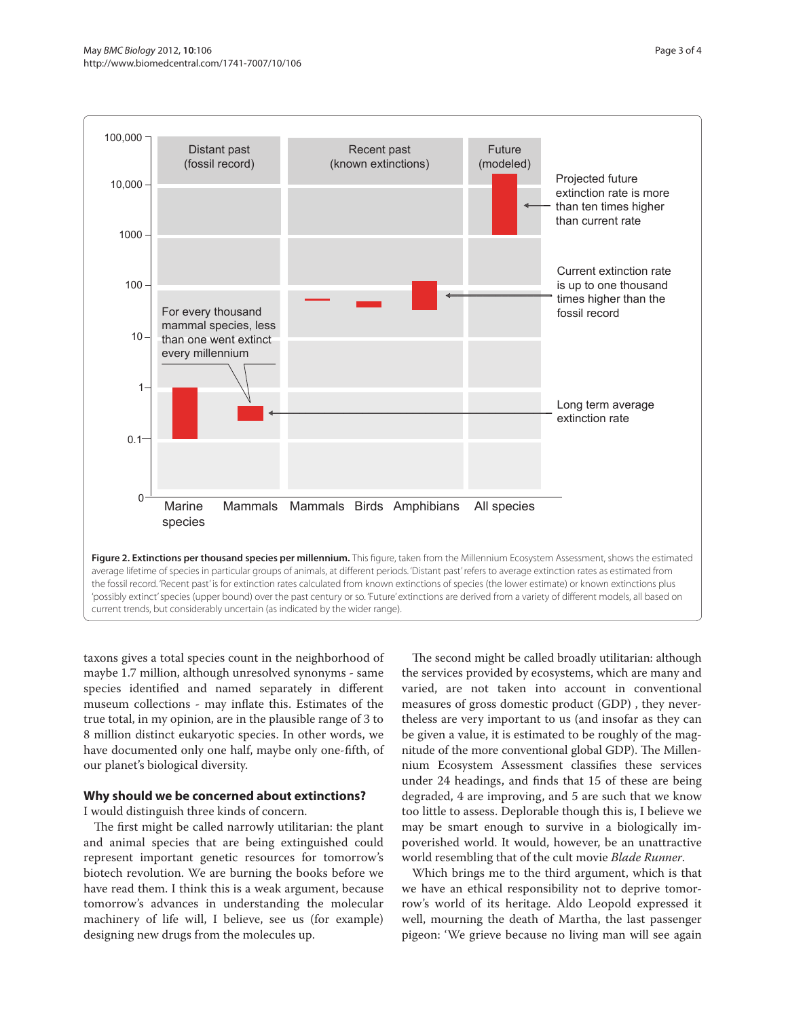

taxons gives a total species count in the neighborhood of maybe 1.7 million, although unresolved synonyms - same species identified and named separately in different museum collections - may inflate this. Estimates of the true total, in my opinion, are in the plausible range of 3 to 8 million distinct eukaryotic species. In other words, we have documented only one half, maybe only one-fifth, of our planet's biological diversity.

#### **Why should we be concerned about extinctions?**

I would distinguish three kinds of concern.

The first might be called narrowly utilitarian: the plant and animal species that are being extinguished could represent important genetic resources for tomorrow's biotech revolution. We are burning the books before we have read them. I think this is a weak argument, because tomorrow's advances in understanding the molecular machinery of life will, I believe, see us (for example) designing new drugs from the molecules up.

The second might be called broadly utilitarian: although the services provided by ecosystems, which are many and varied, are not taken into account in conventional measures of gross domestic product (GDP) , they nevertheless are very important to us (and insofar as they can be given a value, it is estimated to be roughly of the magnitude of the more conventional global GDP). The Millennium Ecosystem Assessment classifies these services under 24 headings, and finds that 15 of these are being degraded, 4 are improving, and 5 are such that we know too little to assess. Deplorable though this is, I believe we may be smart enough to survive in a biologically impover ished world. It would, however, be an unattractive world resembling that of the cult movie *Blade Runner*.

Which brings me to the third argument, which is that we have an ethical responsibility not to deprive tomorrow's world of its heritage. Aldo Leopold expressed it well, mourning the death of Martha, the last passenger pigeon: 'We grieve because no living man will see again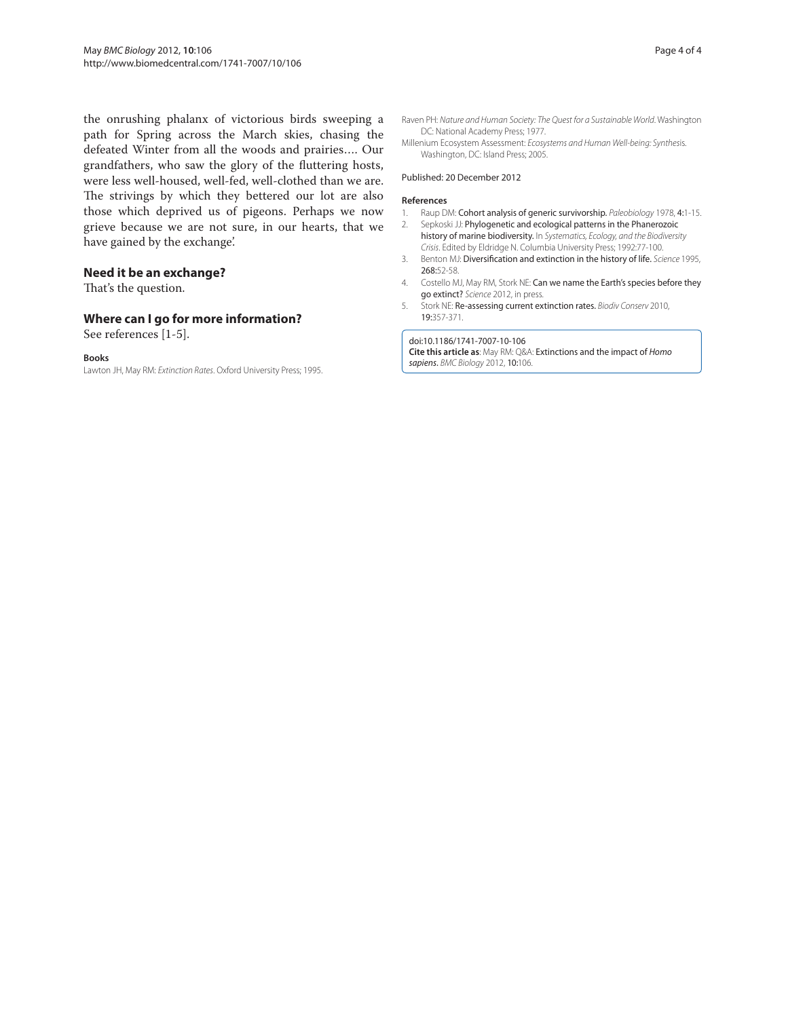the onrushing phalanx of victorious birds sweeping a path for Spring across the March skies, chasing the defeated Winter from all the woods and prairies…. Our grandfathers, who saw the glory of the fluttering hosts, were less well-housed, well-fed, well-clothed than we are. The strivings by which they bettered our lot are also those which deprived us of pigeons. Perhaps we now grieve because we are not sure, in our hearts, that we have gained by the exchange'.

## **Need it be an exchange?**

That's the question.

#### **Where can I go for more information?**

See references [1-5].

#### **Books**

Lawton JH, May RM: *Extinction Rates*. Oxford University Press; 1995.

Millenium Ecosystem Assessment: *Ecosystems and Human Well-being: Synthes*is. Washington, DC: Island Press; 2005.

#### Published: 20 December 2012

#### **References**

- 1. Raup DM: Cohort analysis of generic survivorship. *Paleobiology* 1978, 4:1-15.
- 2. Sepkoski JJ: Phylogenetic and ecological patterns in the Phanerozoic history of marine biodiversity. In *Systematics, Ecology, and the Biodiversity Crisis*. Edited by Eldridge N. Columbia University Press; 1992:77-100.
- 3. Benton MJ: Diversification and extinction in the history of life. *Science* 1995, 268:52-58.
- 4. Costello MJ, May RM, Stork NE: Can we name the Earth's species before they go extinct? *Science* 2012, in press.
- 5. Stork NE: Re-assessing current extinction rates. *Biodiv Conserv* 2010, 19:357-371.

#### doi:10.1186/1741-7007-10-106

**Cite this article as**: May RM: Q&A: Extinctions and the impact of *Homo sapiens*. *BMC Biology* 2012, 10:106.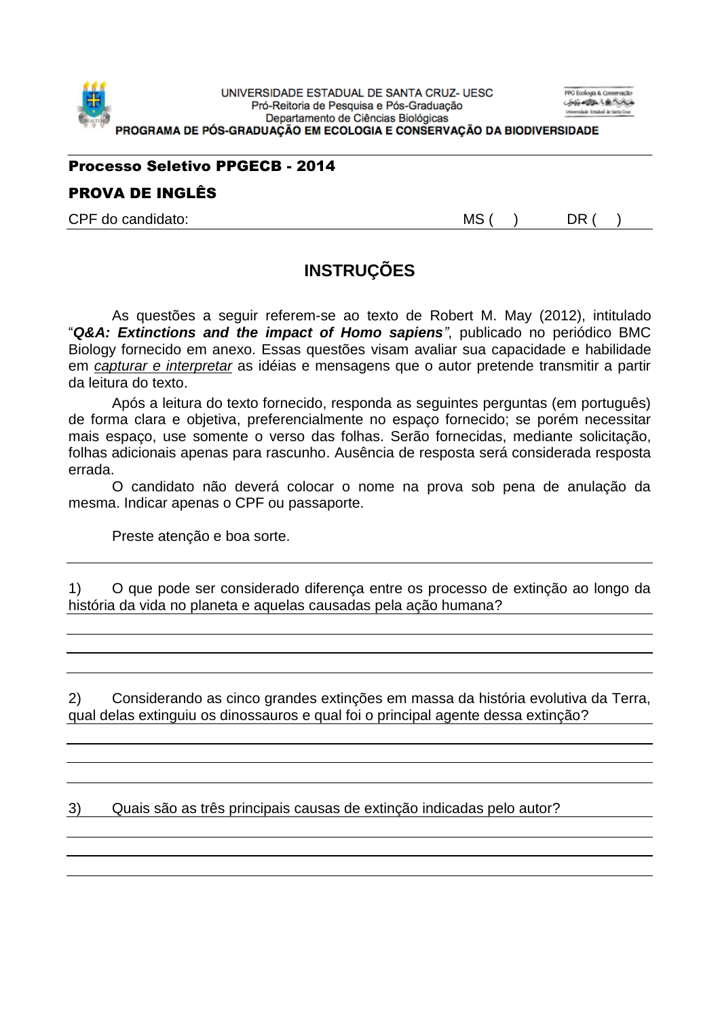

UNIVERSIDADE ESTADUAL DE SANTA CRUZ- UESC Pró-Reitoria de Pesquisa e Pós-Graduação Departamento de Ciências Biológicas PROGRAMA DE PÓS-GRADUAÇÃO EM ECOLOGIA E CONSERVAÇÃO DA BIODIVERSIDADE

PPG Ecologia & Conservação しんの間にしめている Universidade Entadual de Santa Cruz

Processo Seletivo PPGECB - 2014

# PROVA DE INGLÊS

CPF do candidato: MS ( ) DR ( )

# **INSTRUÇÕES**

As questões a seguir referem-se ao texto de Robert M. May (2012), intitulado "*Q&A: Extinctions and the impact of Homo sapiens"*, publicado no periódico BMC Biology fornecido em anexo. Essas questões visam avaliar sua capacidade e habilidade em *capturar e interpretar* as idéias e mensagens que o autor pretende transmitir a partir da leitura do texto.

Após a leitura do texto fornecido, responda as seguintes perguntas (em português) de forma clara e objetiva, preferencialmente no espaço fornecido; se porém necessitar mais espaço, use somente o verso das folhas. Serão fornecidas, mediante solicitação, folhas adicionais apenas para rascunho. Ausência de resposta será considerada resposta errada.

O candidato não deverá colocar o nome na prova sob pena de anulação da mesma. Indicar apenas o CPF ou passaporte.

Preste atenção e boa sorte.

1) O que pode ser considerado diferença entre os processo de extinção ao longo da história da vida no planeta e aquelas causadas pela ação humana?

2) Considerando as cinco grandes extinções em massa da história evolutiva da Terra, qual delas extinguiu os dinossauros e qual foi o principal agente dessa extinção?

3) Quais são as três principais causas de extinção indicadas pelo autor?